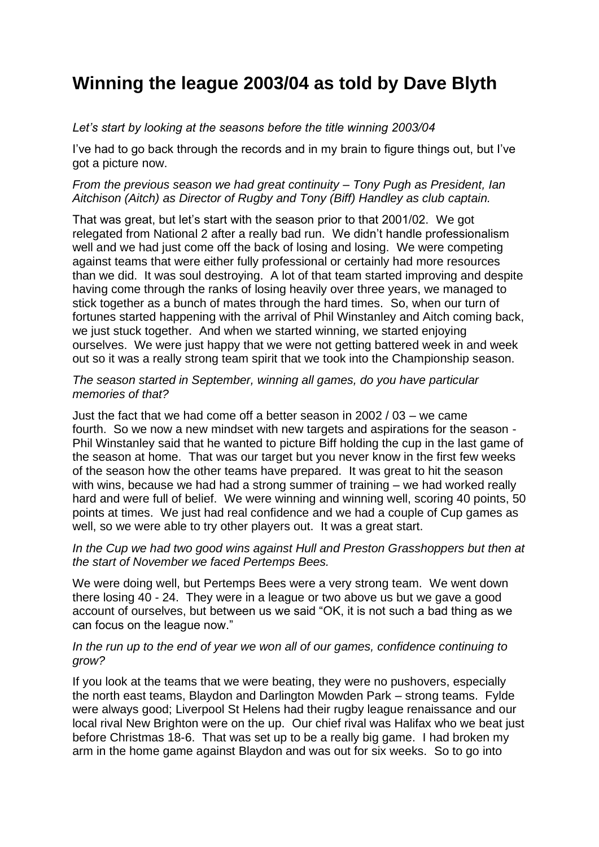# **Winning the league 2003/04 as told by Dave Blyth**

# *Let's start by looking at the seasons before the title winning 2003/04*

I've had to go back through the records and in my brain to figure things out, but I've got a picture now.

## *From the previous season we had great continuity – Tony Pugh as President, Ian Aitchison (Aitch) as Director of Rugby and Tony (Biff) Handley as club captain.*

That was great, but let's start with the season prior to that 2001/02. We got relegated from National 2 after a really bad run. We didn't handle professionalism well and we had just come off the back of losing and losing. We were competing against teams that were either fully professional or certainly had more resources than we did. It was soul destroying. A lot of that team started improving and despite having come through the ranks of losing heavily over three years, we managed to stick together as a bunch of mates through the hard times. So, when our turn of fortunes started happening with the arrival of Phil Winstanley and Aitch coming back, we just stuck together. And when we started winning, we started enjoying ourselves. We were just happy that we were not getting battered week in and week out so it was a really strong team spirit that we took into the Championship season.

## *The season started in September, winning all games, do you have particular memories of that?*

Just the fact that we had come off a better season in 2002 / 03 – we came fourth. So we now a new mindset with new targets and aspirations for the season - Phil Winstanley said that he wanted to picture Biff holding the cup in the last game of the season at home. That was our target but you never know in the first few weeks of the season how the other teams have prepared. It was great to hit the season with wins, because we had had a strong summer of training – we had worked really hard and were full of belief. We were winning and winning well, scoring 40 points, 50 points at times. We just had real confidence and we had a couple of Cup games as well, so we were able to try other players out. It was a great start.

## *In the Cup we had two good wins against Hull and Preston Grasshoppers but then at the start of November we faced Pertemps Bees.*

We were doing well, but Pertemps Bees were a very strong team. We went down there losing 40 - 24. They were in a league or two above us but we gave a good account of ourselves, but between us we said "OK, it is not such a bad thing as we can focus on the league now."

## *In the run up to the end of year we won all of our games, confidence continuing to grow?*

If you look at the teams that we were beating, they were no pushovers, especially the north east teams, Blaydon and Darlington Mowden Park – strong teams. Fylde were always good; Liverpool St Helens had their rugby league renaissance and our local rival New Brighton were on the up. Our chief rival was Halifax who we beat just before Christmas 18-6. That was set up to be a really big game. I had broken my arm in the home game against Blaydon and was out for six weeks. So to go into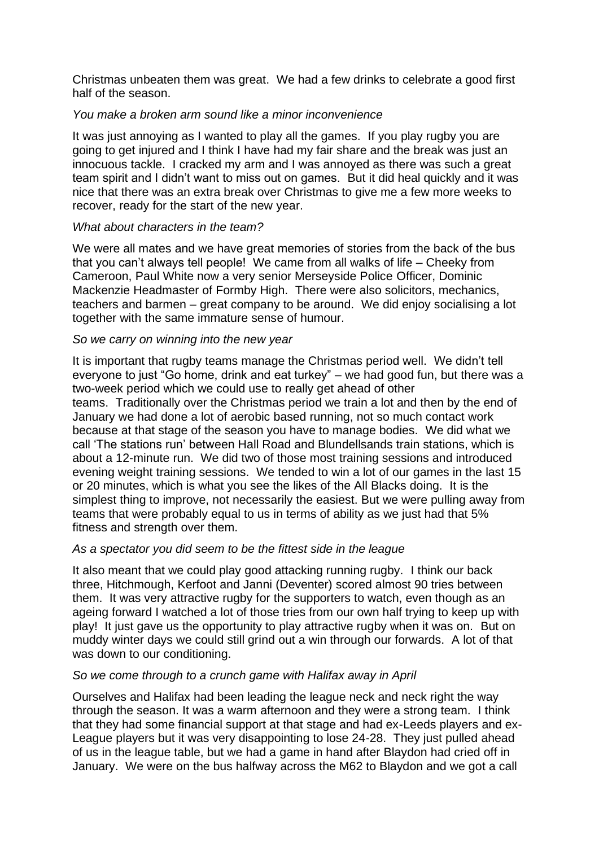Christmas unbeaten them was great. We had a few drinks to celebrate a good first half of the season.

## *You make a broken arm sound like a minor inconvenience*

It was just annoying as I wanted to play all the games. If you play rugby you are going to get injured and I think I have had my fair share and the break was just an innocuous tackle. I cracked my arm and I was annoyed as there was such a great team spirit and I didn't want to miss out on games. But it did heal quickly and it was nice that there was an extra break over Christmas to give me a few more weeks to recover, ready for the start of the new year.

## *What about characters in the team?*

We were all mates and we have great memories of stories from the back of the bus that you can't always tell people! We came from all walks of life – Cheeky from Cameroon, Paul White now a very senior Merseyside Police Officer, Dominic Mackenzie Headmaster of Formby High. There were also solicitors, mechanics, teachers and barmen – great company to be around. We did enjoy socialising a lot together with the same immature sense of humour.

## *So we carry on winning into the new year*

It is important that rugby teams manage the Christmas period well. We didn't tell everyone to just "Go home, drink and eat turkey" – we had good fun, but there was a two-week period which we could use to really get ahead of other teams. Traditionally over the Christmas period we train a lot and then by the end of January we had done a lot of aerobic based running, not so much contact work because at that stage of the season you have to manage bodies. We did what we call 'The stations run' between Hall Road and Blundellsands train stations, which is about a 12-minute run. We did two of those most training sessions and introduced evening weight training sessions. We tended to win a lot of our games in the last 15 or 20 minutes, which is what you see the likes of the All Blacks doing. It is the simplest thing to improve, not necessarily the easiest. But we were pulling away from teams that were probably equal to us in terms of ability as we just had that 5% fitness and strength over them.

## *As a spectator you did seem to be the fittest side in the league*

It also meant that we could play good attacking running rugby. I think our back three, Hitchmough, Kerfoot and Janni (Deventer) scored almost 90 tries between them. It was very attractive rugby for the supporters to watch, even though as an ageing forward I watched a lot of those tries from our own half trying to keep up with play! It just gave us the opportunity to play attractive rugby when it was on. But on muddy winter days we could still grind out a win through our forwards. A lot of that was down to our conditioning.

#### *So we come through to a crunch game with Halifax away in April*

Ourselves and Halifax had been leading the league neck and neck right the way through the season. It was a warm afternoon and they were a strong team. I think that they had some financial support at that stage and had ex-Leeds players and ex-League players but it was very disappointing to lose 24-28. They just pulled ahead of us in the league table, but we had a game in hand after Blaydon had cried off in January. We were on the bus halfway across the M62 to Blaydon and we got a call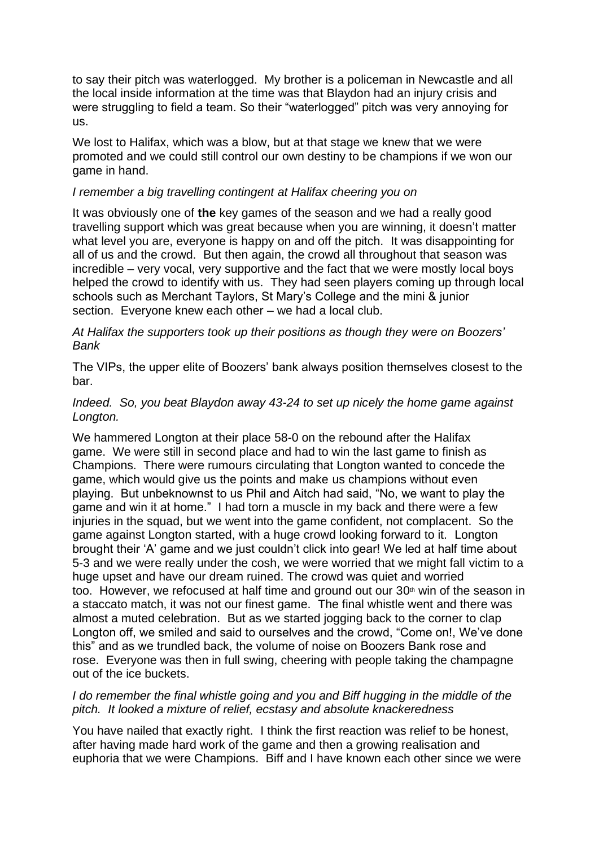to say their pitch was waterlogged. My brother is a policeman in Newcastle and all the local inside information at the time was that Blaydon had an injury crisis and were struggling to field a team. So their "waterlogged" pitch was very annoying for us.

We lost to Halifax, which was a blow, but at that stage we knew that we were promoted and we could still control our own destiny to be champions if we won our game in hand.

## *I remember a big travelling contingent at Halifax cheering you on*

It was obviously one of **the** key games of the season and we had a really good travelling support which was great because when you are winning, it doesn't matter what level you are, everyone is happy on and off the pitch. It was disappointing for all of us and the crowd. But then again, the crowd all throughout that season was incredible – very vocal, very supportive and the fact that we were mostly local boys helped the crowd to identify with us. They had seen players coming up through local schools such as Merchant Taylors, St Mary's College and the mini & junior section. Everyone knew each other – we had a local club.

## *At Halifax the supporters took up their positions as though they were on Boozers' Bank*

The VIPs, the upper elite of Boozers' bank always position themselves closest to the bar.

## *Indeed. So, you beat Blaydon away 43-24 to set up nicely the home game against Longton.*

We hammered Longton at their place 58-0 on the rebound after the Halifax game. We were still in second place and had to win the last game to finish as Champions. There were rumours circulating that Longton wanted to concede the game, which would give us the points and make us champions without even playing. But unbeknownst to us Phil and Aitch had said, "No, we want to play the game and win it at home." I had torn a muscle in my back and there were a few injuries in the squad, but we went into the game confident, not complacent. So the game against Longton started, with a huge crowd looking forward to it. Longton brought their 'A' game and we just couldn't click into gear! We led at half time about 5-3 and we were really under the cosh, we were worried that we might fall victim to a huge upset and have our dream ruined. The crowd was quiet and worried too. However, we refocused at half time and ground out our  $30<sup>th</sup>$  win of the season in a staccato match, it was not our finest game. The final whistle went and there was almost a muted celebration. But as we started jogging back to the corner to clap Longton off, we smiled and said to ourselves and the crowd, "Come on!, We've done this" and as we trundled back, the volume of noise on Boozers Bank rose and rose. Everyone was then in full swing, cheering with people taking the champagne out of the ice buckets.

## *I do remember the final whistle going and you and Biff hugging in the middle of the pitch. It looked a mixture of relief, ecstasy and absolute knackeredness*

You have nailed that exactly right. I think the first reaction was relief to be honest, after having made hard work of the game and then a growing realisation and euphoria that we were Champions. Biff and I have known each other since we were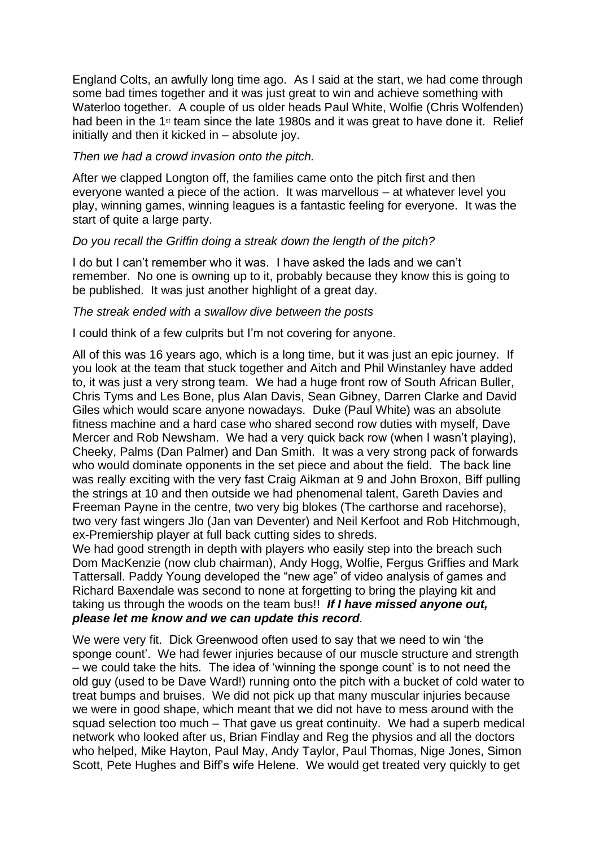England Colts, an awfully long time ago. As I said at the start, we had come through some bad times together and it was just great to win and achieve something with Waterloo together. A couple of us older heads Paul White, Wolfie (Chris Wolfenden) had been in the 1<sup>st</sup> team since the late 1980s and it was great to have done it. Relief initially and then it kicked in – absolute joy.

#### *Then we had a crowd invasion onto the pitch.*

After we clapped Longton off, the families came onto the pitch first and then everyone wanted a piece of the action. It was marvellous – at whatever level you play, winning games, winning leagues is a fantastic feeling for everyone. It was the start of quite a large party.

## *Do you recall the Griffin doing a streak down the length of the pitch?*

I do but I can't remember who it was. I have asked the lads and we can't remember. No one is owning up to it, probably because they know this is going to be published. It was just another highlight of a great day.

## *The streak ended with a swallow dive between the posts*

I could think of a few culprits but I'm not covering for anyone.

All of this was 16 years ago, which is a long time, but it was just an epic journey. If you look at the team that stuck together and Aitch and Phil Winstanley have added to, it was just a very strong team. We had a huge front row of South African Buller, Chris Tyms and Les Bone, plus Alan Davis, Sean Gibney, Darren Clarke and David Giles which would scare anyone nowadays. Duke (Paul White) was an absolute fitness machine and a hard case who shared second row duties with myself, Dave Mercer and Rob Newsham. We had a very quick back row (when I wasn't playing), Cheeky, Palms (Dan Palmer) and Dan Smith. It was a very strong pack of forwards who would dominate opponents in the set piece and about the field. The back line was really exciting with the very fast Craig Aikman at 9 and John Broxon, Biff pulling the strings at 10 and then outside we had phenomenal talent, Gareth Davies and Freeman Payne in the centre, two very big blokes (The carthorse and racehorse), two very fast wingers Jlo (Jan van Deventer) and Neil Kerfoot and Rob Hitchmough, ex-Premiership player at full back cutting sides to shreds.

We had good strength in depth with players who easily step into the breach such Dom MacKenzie (now club chairman), Andy Hogg, Wolfie, Fergus Griffies and Mark Tattersall. Paddy Young developed the "new age" of video analysis of games and Richard Baxendale was second to none at forgetting to bring the playing kit and taking us through the woods on the team bus!! *If I have missed anyone out, please let me know and we can update this record.*

We were very fit. Dick Greenwood often used to say that we need to win 'the sponge count'. We had fewer injuries because of our muscle structure and strength – we could take the hits. The idea of 'winning the sponge count' is to not need the old guy (used to be Dave Ward!) running onto the pitch with a bucket of cold water to treat bumps and bruises. We did not pick up that many muscular injuries because we were in good shape, which meant that we did not have to mess around with the squad selection too much – That gave us great continuity. We had a superb medical network who looked after us, Brian Findlay and Reg the physios and all the doctors who helped, Mike Hayton, Paul May, Andy Taylor, Paul Thomas, Nige Jones, Simon Scott, Pete Hughes and Biff's wife Helene. We would get treated very quickly to get